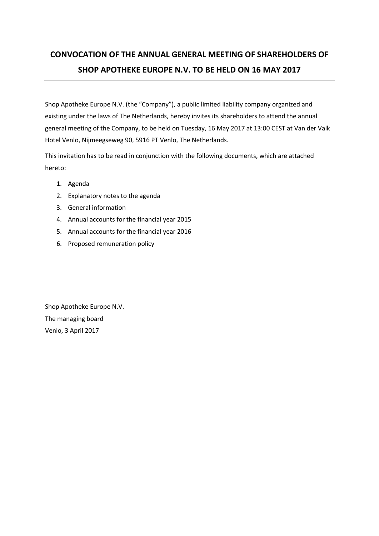# **CONVOCATION OF THE ANNUAL GENERAL MEETING OF SHAREHOLDERS OF SHOP APOTHEKE EUROPE N.V. TO BE HELD ON 16 MAY 2017**

Shop Apotheke Europe N.V. (the "Company"), a public limited liability company organized and existing under the laws of The Netherlands, hereby invites its shareholders to attend the annual general meeting of the Company, to be held on Tuesday, 16 May 2017 at 13:00 CEST at Van der Valk Hotel Venlo, Nijmeegseweg 90, 5916 PT Venlo, The Netherlands.

This invitation has to be read in conjunction with the following documents, which are attached hereto:

- 1. Agenda
- 2. Explanatory notes to the agenda
- 3. General information
- 4. Annual accounts for the financial year 2015
- 5. Annual accounts for the financial year 2016
- 6. Proposed remuneration policy

Shop Apotheke Europe N.V. The managing board Venlo, 3 April 2017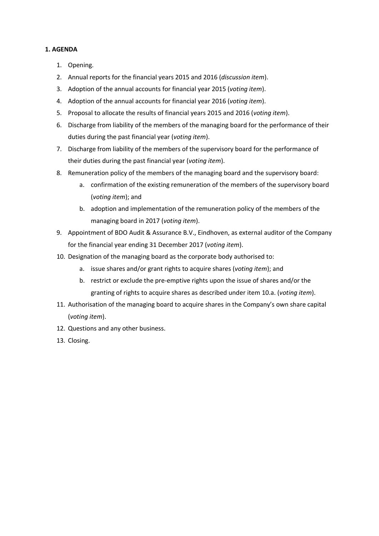# **1. AGENDA**

- 1. Opening.
- 2. Annual reports for the financial years 2015 and 2016 (*discussion item*).
- 3. Adoption of the annual accounts for financial year 2015 (*voting item*).
- 4. Adoption of the annual accounts for financial year 2016 (*voting item*).
- 5. Proposal to allocate the results of financial years 2015 and 2016 (*voting item*).
- 6. Discharge from liability of the members of the managing board for the performance of their duties during the past financial year (*voting item*).
- 7. Discharge from liability of the members of the supervisory board for the performance of their duties during the past financial year (*voting item*).
- 8. Remuneration policy of the members of the managing board and the supervisory board:
	- a. confirmation of the existing remuneration of the members of the supervisory board (*voting item*); and
	- b. adoption and implementation of the remuneration policy of the members of the managing board in 2017 (*voting item*).
- 9. Appointment of BDO Audit & Assurance B.V., Eindhoven, as external auditor of the Company for the financial year ending 31 December 2017 (*voting item*).
- <span id="page-1-0"></span>10. Designation of the managing board as the corporate body authorised to:
	- a. issue shares and/or grant rights to acquire shares (*voting item*); and
	- b. restrict or exclude the pre-emptive rights upon the issue of shares and/or the granting of rights to acquire shares as described under item [10.a.](#page-1-0) (*voting item*).
- 11. Authorisation of the managing board to acquire shares in the Company's own share capital (*voting item*).
- 12. Questions and any other business.
- 13. Closing.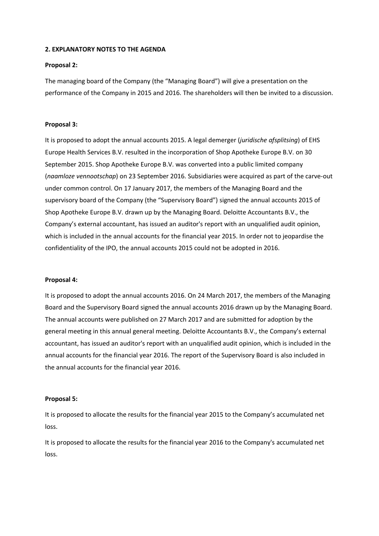# **2. EXPLANATORY NOTES TO THE AGENDA**

## **Proposal 2:**

The managing board of the Company (the "Managing Board") will give a presentation on the performance of the Company in 2015 and 2016. The shareholders will then be invited to a discussion.

# **Proposal 3:**

It is proposed to adopt the annual accounts 2015. A legal demerger (*juridische afsplitsing*) of EHS Europe Health Services B.V. resulted in the incorporation of Shop Apotheke Europe B.V. on 30 September 2015. Shop Apotheke Europe B.V. was converted into a public limited company (*naamloze vennootschap*) on 23 September 2016. Subsidiaries were acquired as part of the carve-out under common control. On 17 January 2017, the members of the Managing Board and the supervisory board of the Company (the "Supervisory Board") signed the annual accounts 2015 of Shop Apotheke Europe B.V. drawn up by the Managing Board. Deloitte Accountants B.V., the Company's external accountant, has issued an auditor's report with an unqualified audit opinion, which is included in the annual accounts for the financial year 2015. In order not to jeopardise the confidentiality of the IPO, the annual accounts 2015 could not be adopted in 2016.

## **Proposal 4:**

It is proposed to adopt the annual accounts 2016. On 24 March 2017, the members of the Managing Board and the Supervisory Board signed the annual accounts 2016 drawn up by the Managing Board. The annual accounts were published on 27 March 2017 and are submitted for adoption by the general meeting in this annual general meeting. Deloitte Accountants B.V., the Company's external accountant, has issued an auditor's report with an unqualified audit opinion, which is included in the annual accounts for the financial year 2016. The report of the Supervisory Board is also included in the annual accounts for the financial year 2016.

## **Proposal 5:**

It is proposed to allocate the results for the financial year 2015 to the Company's accumulated net loss.

It is proposed to allocate the results for the financial year 2016 to the Company's accumulated net loss.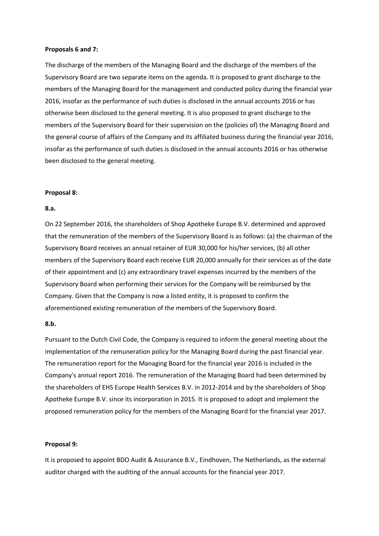#### **Proposals 6 and 7:**

The discharge of the members of the Managing Board and the discharge of the members of the Supervisory Board are two separate items on the agenda. It is proposed to grant discharge to the members of the Managing Board for the management and conducted policy during the financial year 2016, insofar as the performance of such duties is disclosed in the annual accounts 2016 or has otherwise been disclosed to the general meeting. It is also proposed to grant discharge to the members of the Supervisory Board for their supervision on the (policies of) the Managing Board and the general course of affairs of the Company and its affiliated business during the financial year 2016, insofar as the performance of such duties is disclosed in the annual accounts 2016 or has otherwise been disclosed to the general meeting.

#### **Proposal 8:**

#### **8.a.**

On 22 September 2016, the shareholders of Shop Apotheke Europe B.V. determined and approved that the remuneration of the members of the Supervisory Board is as follows: (a) the chairman of the Supervisory Board receives an annual retainer of EUR 30,000 for his/her services, (b) all other members of the Supervisory Board each receive EUR 20,000 annually for their services as of the date of their appointment and (c) any extraordinary travel expenses incurred by the members of the Supervisory Board when performing their services for the Company will be reimbursed by the Company. Given that the Company is now a listed entity, it is proposed to confirm the aforementioned existing remuneration of the members of the Supervisory Board.

# **8.b.**

Pursuant to the Dutch Civil Code, the Company is required to inform the general meeting about the implementation of the remuneration policy for the Managing Board during the past financial year. The remuneration report for the Managing Board for the financial year 2016 is included in the Company's annual report 2016. The remuneration of the Managing Board had been determined by the shareholders of EHS Europe Health Services B.V. in 2012-2014 and by the shareholders of Shop Apotheke Europe B.V. since its incorporation in 2015. It is proposed to adopt and implement the proposed remuneration policy for the members of the Managing Board for the financial year 2017.

## **Proposal 9:**

It is proposed to appoint BDO Audit & Assurance B.V., Eindhoven, The Netherlands, as the external auditor charged with the auditing of the annual accounts for the financial year 2017.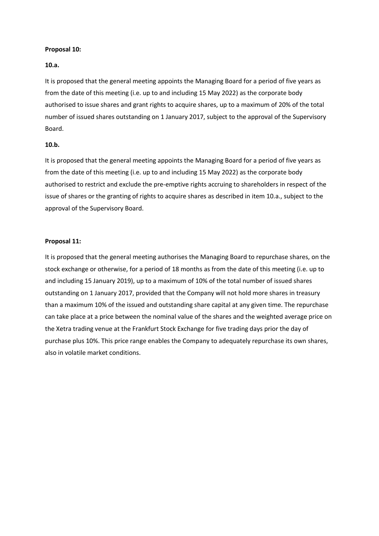## **Proposal 10:**

## **10.a.**

It is proposed that the general meeting appoints the Managing Board for a period of five years as from the date of this meeting (i.e. up to and including 15 May 2022) as the corporate body authorised to issue shares and grant rights to acquire shares, up to a maximum of 20% of the total number of issued shares outstanding on 1 January 2017, subject to the approval of the Supervisory Board.

#### **10.b.**

It is proposed that the general meeting appoints the Managing Board for a period of five years as from the date of this meeting (i.e. up to and including 15 May 2022) as the corporate body authorised to restrict and exclude the pre-emptive rights accruing to shareholders in respect of the issue of shares or the granting of rights to acquire shares as described in item 10.a., subject to the approval of the Supervisory Board.

## **Proposal 11:**

It is proposed that the general meeting authorises the Managing Board to repurchase shares, on the stock exchange or otherwise, for a period of 18 months as from the date of this meeting (i.e. up to and including 15 January 2019), up to a maximum of 10% of the total number of issued shares outstanding on 1 January 2017, provided that the Company will not hold more shares in treasury than a maximum 10% of the issued and outstanding share capital at any given time. The repurchase can take place at a price between the nominal value of the shares and the weighted average price on the Xetra trading venue at the Frankfurt Stock Exchange for five trading days prior the day of purchase plus 10%. This price range enables the Company to adequately repurchase its own shares, also in volatile market conditions.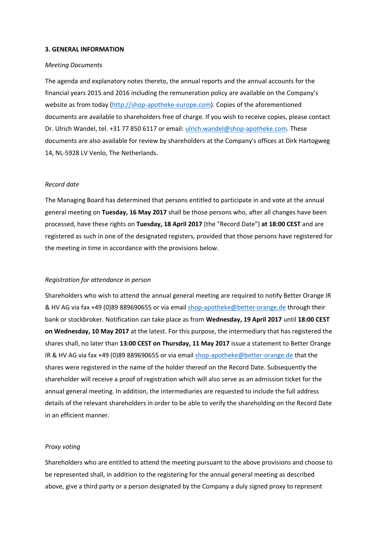## **3. GENERAL INFORMATION**

#### *Meeting Documents*

The agenda and explanatory notes thereto, the annual reports and the annual accounts for the financial years 2015 and 2016 including the remuneration policy are available on the Company's website as from today [\(http://shop-apotheke-europe.com\)](http://shop-apotheke-europe.com/). Copies of the aforementioned documents are available to shareholders free of charge. If you wish to receive copies, please contact Dr. Ulrich Wandel, tel. +31 77 850 6117 or email: [ulrich.wandel@shop-apotheke.com.](mailto:ulrich.wandel@shop-apotheke.com) These documents are also available for review by shareholders at the Company's offices at Dirk Hartogweg 14, NL-5928 LV Venlo, The Netherlands.

# *Record date*

The Managing Board has determined that persons entitled to participate in and vote at the annual general meeting on **Tuesday, 16 May 2017** shall be those persons who, after all changes have been processed, have these rights on **Tuesday, 18 April 2017** (the "Record Date") **at 18:00 CEST** and are registered as such in one of the designated registers, provided that those persons have registered for the meeting in time in accordance with the provisions below.

#### *Registration for attendance in person*

Shareholders who wish to attend the annual general meeting are required to notify Better Orange IR & HV AG via fax +49 (0)89 889690655 or via email [shop-apotheke@better-orange.de](mailto:shop-apotheke@better-orange.de) through their bank or stockbroker. Notification can take place as from **Wednesday, 19 April 2017** until **18:00 CEST on Wednesday, 10 May 2017** at the latest. For this purpose, the intermediary that has registered the shares shall, no later than **13:00 CEST on Thursday, 11 May 2017** issue a statement to Better Orange IR & HV AG via fax +49 (0)89 889690655 or via emai[l shop-apotheke@better-orange.de](mailto:shop-apotheke@better-orange.de) that the shares were registered in the name of the holder thereof on the Record Date. Subsequently the shareholder will receive a proof of registration which will also serve as an admission ticket for the annual general meeting. In addition, the intermediaries are requested to include the full address details of the relevant shareholders in order to be able to verify the shareholding on the Record Date in an efficient manner.

#### *Proxy voting*

Shareholders who are entitled to attend the meeting pursuant to the above provisions and choose to be represented shall, in addition to the registering for the annual general meeting as described above, give a third party or a person designated by the Company a duly signed proxy to represent